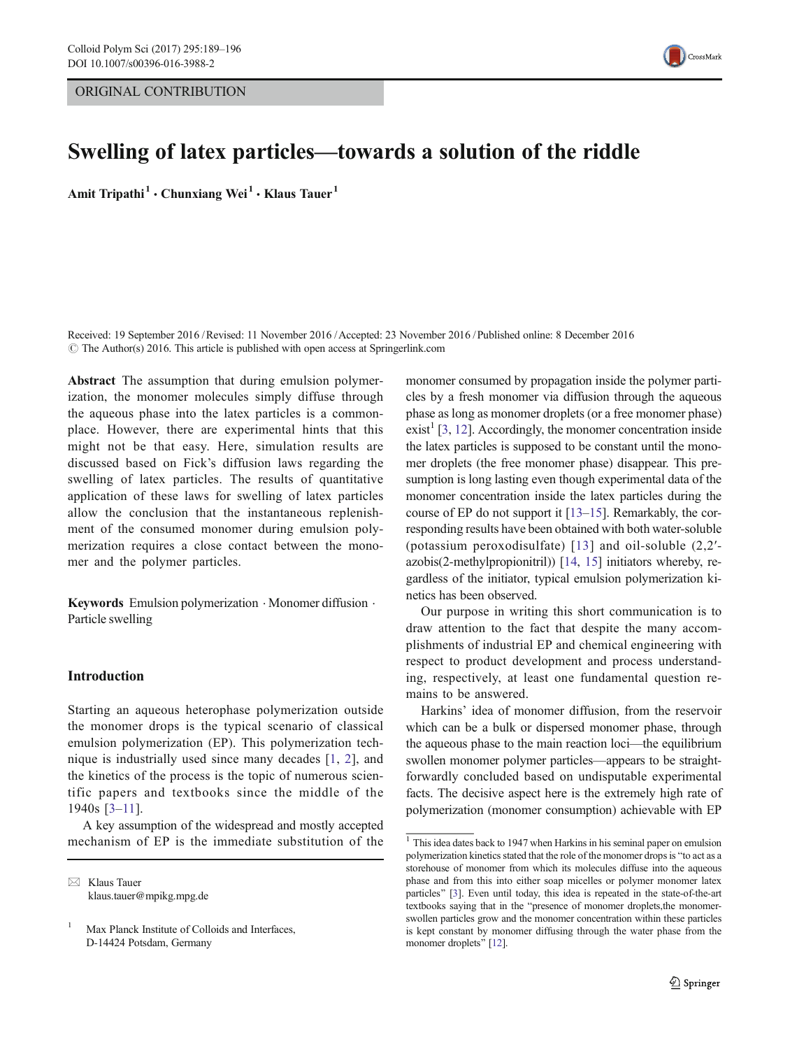

# Swelling of latex particles—towards a solution of the riddle

Amit Tripathi<sup>1</sup> • Chunxiang Wei<sup>1</sup> • Klaus Tauer<sup>1</sup>

Received: 19 September 2016 /Revised: 11 November 2016 /Accepted: 23 November 2016 / Published online: 8 December 2016  $\odot$  The Author(s) 2016. This article is published with open access at Springerlink.com

Abstract The assumption that during emulsion polymerization, the monomer molecules simply diffuse through the aqueous phase into the latex particles is a commonplace. However, there are experimental hints that this might not be that easy. Here, simulation results are discussed based on Fick's diffusion laws regarding the swelling of latex particles. The results of quantitative application of these laws for swelling of latex particles allow the conclusion that the instantaneous replenishment of the consumed monomer during emulsion polymerization requires a close contact between the monomer and the polymer particles.

Keywords Emulsion polymerization . Monomer diffusion . Particle swelling

## Introduction

Starting an aqueous heterophase polymerization outside the monomer drops is the typical scenario of classical emulsion polymerization (EP). This polymerization technique is industrially used since many decades [[1,](#page-6-0) [2](#page-6-0)], and the kinetics of the process is the topic of numerous scientific papers and textbooks since the middle of the 1940s [\[3](#page-6-0)–[11](#page-6-0)].

A key assumption of the widespread and mostly accepted mechanism of EP is the immediate substitution of the

 $\boxtimes$  Klaus Tauer klaus.tauer@mpikg.mpg.de monomer consumed by propagation inside the polymer particles by a fresh monomer via diffusion through the aqueous phase as long as monomer droplets (or a free monomer phase) exist<sup>1</sup> [\[3](#page-6-0), [12\]](#page-6-0). Accordingly, the monomer concentration inside the latex particles is supposed to be constant until the monomer droplets (the free monomer phase) disappear. This presumption is long lasting even though experimental data of the monomer concentration inside the latex particles during the course of EP do not support it [[13](#page-6-0)–[15](#page-6-0)]. Remarkably, the corresponding results have been obtained with both water-soluble (potassium peroxodisulfate) [[13\]](#page-6-0) and oil-soluble (2,2′ azobis(2-methylpropionitril)) [\[14](#page-6-0), [15\]](#page-6-0) initiators whereby, regardless of the initiator, typical emulsion polymerization kinetics has been observed.

Our purpose in writing this short communication is to draw attention to the fact that despite the many accomplishments of industrial EP and chemical engineering with respect to product development and process understanding, respectively, at least one fundamental question remains to be answered.

Harkins' idea of monomer diffusion, from the reservoir which can be a bulk or dispersed monomer phase, through the aqueous phase to the main reaction loci—the equilibrium swollen monomer polymer particles—appears to be straightforwardly concluded based on undisputable experimental facts. The decisive aspect here is the extremely high rate of polymerization (monomer consumption) achievable with EP

<sup>&</sup>lt;sup>1</sup> Max Planck Institute of Colloids and Interfaces, D-14424 Potsdam, Germany

<sup>&</sup>lt;sup>1</sup> This idea dates back to 1947 when Harkins in his seminal paper on emulsion polymerization kinetics stated that the role of the monomer drops is "to act as a storehouse of monomer from which its molecules diffuse into the aqueous phase and from this into either soap micelles or polymer monomer latex particles" [[3](#page-6-0)]. Even until today, this idea is repeated in the state-of-the-art textbooks saying that in the "presence of monomer droplets,the monomerswollen particles grow and the monomer concentration within these particles is kept constant by monomer diffusing through the water phase from the monomer droplets" [\[12\]](#page-6-0).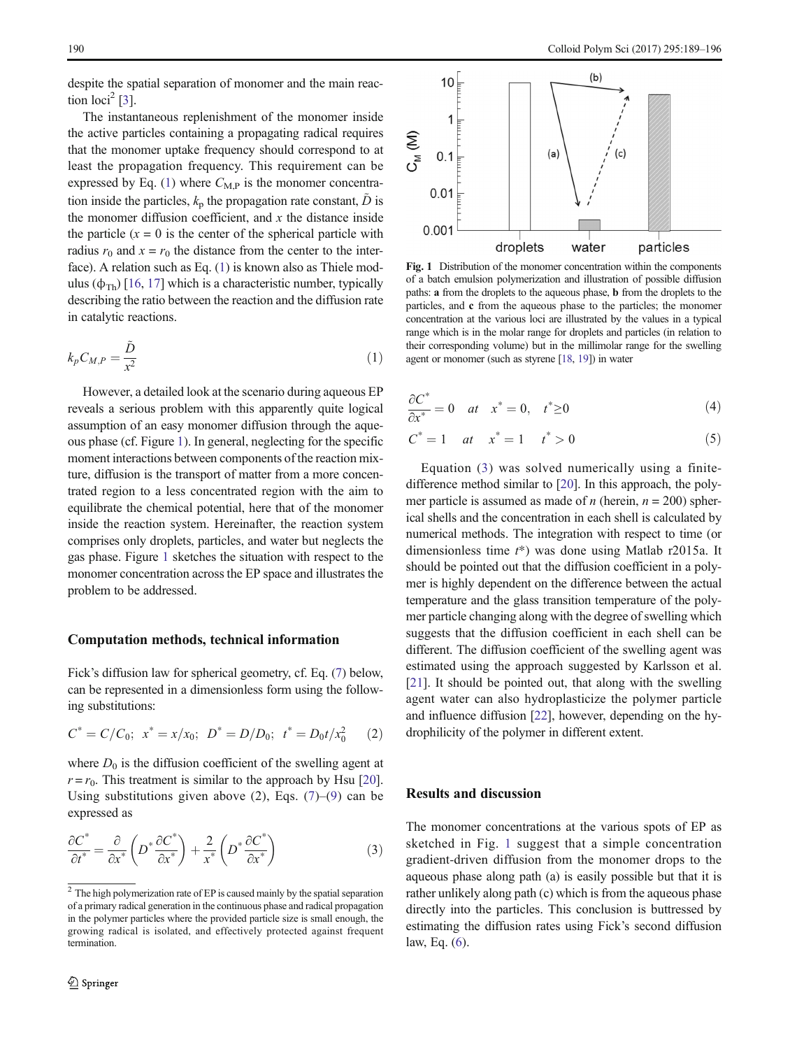<span id="page-1-0"></span>despite the spatial separation of monomer and the main reaction  $loci^2$  [[3](#page-6-0)].

The instantaneous replenishment of the monomer inside the active particles containing a propagating radical requires that the monomer uptake frequency should correspond to at least the propagation frequency. This requirement can be expressed by Eq. (1) where  $C_{\text{MP}}$  is the monomer concentration inside the particles,  $k_p$  the propagation rate constant,  $\tilde{D}$  is the monomer diffusion coefficient, and  $x$  the distance inside the particle  $(x = 0)$  is the center of the spherical particle with radius  $r_0$  and  $x = r_0$  the distance from the center to the interface). A relation such as Eq. (1) is known also as Thiele modulus ( $\phi_{\text{Th}}$ ) [\[16](#page-6-0), [17\]](#page-6-0) which is a characteristic number, typically describing the ratio between the reaction and the diffusion rate in catalytic reactions.

$$
k_p C_{M,P} = \frac{\tilde{D}}{x^2} \tag{1}
$$

However, a detailed look at the scenario during aqueous EP reveals a serious problem with this apparently quite logical assumption of an easy monomer diffusion through the aqueous phase (cf. Figure 1). In general, neglecting for the specific moment interactions between components of the reaction mixture, diffusion is the transport of matter from a more concentrated region to a less concentrated region with the aim to equilibrate the chemical potential, here that of the monomer inside the reaction system. Hereinafter, the reaction system comprises only droplets, particles, and water but neglects the gas phase. Figure 1 sketches the situation with respect to the monomer concentration across the EP space and illustrates the problem to be addressed.

#### Computation methods, technical information

Fick's diffusion law for spherical geometry, cf. Eq. [\(7\)](#page-2-0) below, can be represented in a dimensionless form using the following substitutions:

$$
C^* = C/C_0; \; x^* = x/x_0; \; D^* = D/D_0; \; t^* = D_0 t/x_0^2 \qquad (2)
$$

where  $D_0$  is the diffusion coefficient of the swelling agent at  $r = r_0$ . This treatment is similar to the approach by Hsu [[20\]](#page-6-0). Using substitutions given above  $(2)$ , Eqs.  $(7)-(9)$  $(7)-(9)$  $(7)-(9)$  $(7)-(9)$  can be expressed as

$$
\frac{\partial C^*}{\partial t^*} = \frac{\partial}{\partial x^*} \left( D^* \frac{\partial C^*}{\partial x^*} \right) + \frac{2}{x^*} \left( D^* \frac{\partial C^*}{\partial x^*} \right) \tag{3}
$$



Fig. 1 Distribution of the monomer concentration within the components of a batch emulsion polymerization and illustration of possible diffusion paths: a from the droplets to the aqueous phase, b from the droplets to the particles, and c from the aqueous phase to the particles; the monomer concentration at the various loci are illustrated by the values in a typical range which is in the molar range for droplets and particles (in relation to their corresponding volume) but in the millimolar range for the swelling agent or monomer (such as styrene [\[18,](#page-6-0) [19\]](#page-6-0)) in water

$$
\frac{\partial C^*}{\partial x^*} = 0 \quad at \quad x^* = 0, \quad t^* \ge 0 \tag{4}
$$

$$
C^* = 1 \quad at \quad x^* = 1 \quad t^* > 0 \tag{5}
$$

Equation (3) was solved numerically using a finitedifference method similar to [[20](#page-6-0)]. In this approach, the polymer particle is assumed as made of *n* (herein,  $n = 200$ ) spherical shells and the concentration in each shell is calculated by numerical methods. The integration with respect to time (or dimensionless time  $t^*$ ) was done using Matlab r2015a. It should be pointed out that the diffusion coefficient in a polymer is highly dependent on the difference between the actual temperature and the glass transition temperature of the polymer particle changing along with the degree of swelling which suggests that the diffusion coefficient in each shell can be different. The diffusion coefficient of the swelling agent was estimated using the approach suggested by Karlsson et al. [\[21](#page-6-0)]. It should be pointed out, that along with the swelling agent water can also hydroplasticize the polymer particle and influence diffusion [\[22\]](#page-6-0), however, depending on the hydrophilicity of the polymer in different extent.

#### Results and discussion

The monomer concentrations at the various spots of EP as sketched in Fig. 1 suggest that a simple concentration gradient-driven diffusion from the monomer drops to the aqueous phase along path (a) is easily possible but that it is rather unlikely along path (c) which is from the aqueous phase directly into the particles. This conclusion is buttressed by estimating the diffusion rates using Fick's second diffusion law, Eq. (6).

<sup>&</sup>lt;sup>2</sup> The high polymerization rate of EP is caused mainly by the spatial separation of a primary radical generation in the continuous phase and radical propagation in the polymer particles where the provided particle size is small enough, the growing radical is isolated, and effectively protected against frequent termination.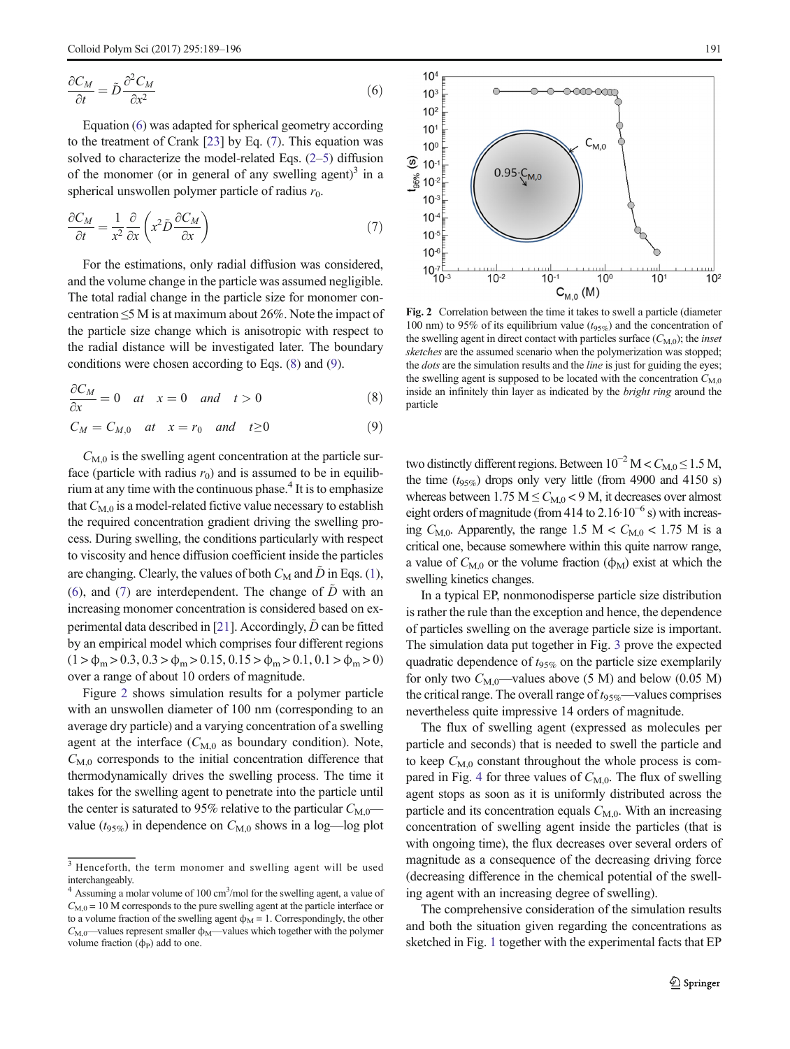<span id="page-2-0"></span>
$$
\frac{\partial C_M}{\partial t} = \tilde{D} \frac{\partial^2 C_M}{\partial x^2} \tag{6}
$$

Equation ([6](#page-1-0)) was adapted for spherical geometry according to the treatment of Crank [\[23\]](#page-6-0) by Eq. (7). This equation was solved to characterize the model-related Eqs. ([2](#page-1-0)–[5](#page-1-0)) diffusion of the monomer (or in general of any swelling agent)<sup>3</sup> in a spherical unswollen polymer particle of radius  $r_0$ .

$$
\frac{\partial C_M}{\partial t} = \frac{1}{x^2} \frac{\partial}{\partial x} \left( x^2 \tilde{D} \frac{\partial C_M}{\partial x} \right) \tag{7}
$$

For the estimations, only radial diffusion was considered, and the volume change in the particle was assumed negligible. The total radial change in the particle size for monomer concentration ≤5 M is at maximum about 26%. Note the impact of the particle size change which is anisotropic with respect to the radial distance will be investigated later. The boundary conditions were chosen according to Eqs. (8) and (9).

$$
\frac{\partial C_M}{\partial x} = 0 \quad at \quad x = 0 \quad and \quad t > 0 \tag{8}
$$

 $C_M = C_{M,0}$  at  $x = r_0$  and  $t \ge 0$  (9)

 $C_{M,0}$  is the swelling agent concentration at the particle surface (particle with radius  $r_0$ ) and is assumed to be in equilibrium at any time with the continuous phase. $4$  It is to emphasize that  $C_{\text{M},0}$  is a model-related fictive value necessary to establish the required concentration gradient driving the swelling process. During swelling, the conditions particularly with respect to viscosity and hence diffusion coefficient inside the particles are changing. Clearly, the values of both  $C_M$  and  $\tilde{D}$  in Eqs. ([1\)](#page-1-0), [\(6](#page-1-0)), and (7) are interdependent. The change of  $\tilde{D}$  with an increasing monomer concentration is considered based on ex-perimental data described in [[21\]](#page-6-0). Accordingly,  $\ddot{D}$  can be fitted by an empirical model which comprises four different regions  $(1 > \phi_m > 0.3, 0.3 > \phi_m > 0.15, 0.15 > \phi_m > 0.1, 0.1 > \phi_m > 0)$ over a range of about 10 orders of magnitude.

Figure 2 shows simulation results for a polymer particle with an unswollen diameter of 100 nm (corresponding to an average dry particle) and a varying concentration of a swelling agent at the interface  $(C_{M,0}$  as boundary condition). Note,  $C_{\rm M,0}$  corresponds to the initial concentration difference that thermodynamically drives the swelling process. The time it takes for the swelling agent to penetrate into the particle until the center is saturated to 95% relative to the particular  $C_{\text{M,0}}$ value ( $t_{95\%}$ ) in dependence on  $C_{M,0}$  shows in a log—log plot



Fig. 2 Correlation between the time it takes to swell a particle (diameter 100 nm) to 95% of its equilibrium value ( $t_{95\%}$ ) and the concentration of the swelling agent in direct contact with particles surface  $(C_{\text{M.0}})$ ; the *inset* sketches are the assumed scenario when the polymerization was stopped; the *dots* are the simulation results and the *line* is just for guiding the eyes; the swelling agent is supposed to be located with the concentration  $C_{\rm M,0}$ inside an infinitely thin layer as indicated by the bright ring around the particle

two distinctly different regions. Between  $10^{-2}$  M <  $C_{M,0} \le 1.5$  M, the time  $(t_{95\%})$  drops only very little (from 4900 and 4150 s) whereas between 1.75 M  $\leq$  C<sub>M,0</sub> < 9 M, it decreases over almost eight orders of magnitude (from 414 to 2.16·10−<sup>6</sup> s) with increasing  $C_{M,0}$ . Apparently, the range 1.5 M <  $C_{M,0}$  < 1.75 M is a critical one, because somewhere within this quite narrow range, a value of  $C_{\text{M},0}$  or the volume fraction ( $\phi$ <sub>M</sub>) exist at which the swelling kinetics changes.

In a typical EP, nonmonodisperse particle size distribution is rather the rule than the exception and hence, the dependence of particles swelling on the average particle size is important. The simulation data put together in Fig. [3](#page-3-0) prove the expected quadratic dependence of  $t_{95\%}$  on the particle size exemplarily for only two  $C_{\text{M},0}$ —values above (5 M) and below (0.05 M) the critical range. The overall range of  $t_{95\%}$ —values comprises nevertheless quite impressive 14 orders of magnitude.

The flux of swelling agent (expressed as molecules per particle and seconds) that is needed to swell the particle and to keep  $C_{\rm M,0}$  constant throughout the whole process is com-pared in Fig. [4](#page-3-0) for three values of  $C_{M,0}$ . The flux of swelling agent stops as soon as it is uniformly distributed across the particle and its concentration equals  $C_{\text{M},0}$ . With an increasing concentration of swelling agent inside the particles (that is with ongoing time), the flux decreases over several orders of magnitude as a consequence of the decreasing driving force (decreasing difference in the chemical potential of the swelling agent with an increasing degree of swelling).

The comprehensive consideration of the simulation results and both the situation given regarding the concentrations as sketched in Fig. [1](#page-1-0) together with the experimental facts that EP

<sup>3</sup> Henceforth, the term monomer and swelling agent will be used interchangeably.

<sup>&</sup>lt;sup>4</sup> Assuming a molar volume of 100 cm<sup>3</sup>/mol for the swelling agent, a value of  $C_{M,0}$  = 10 M corresponds to the pure swelling agent at the particle interface or to a volume fraction of the swelling agent  $\phi_M = 1$ . Correspondingly, the other  $C_{\rm M,0}$ —values represent smaller  $\phi_{\rm M}$ —values which together with the polymer volume fraction  $(\phi_P)$  add to one.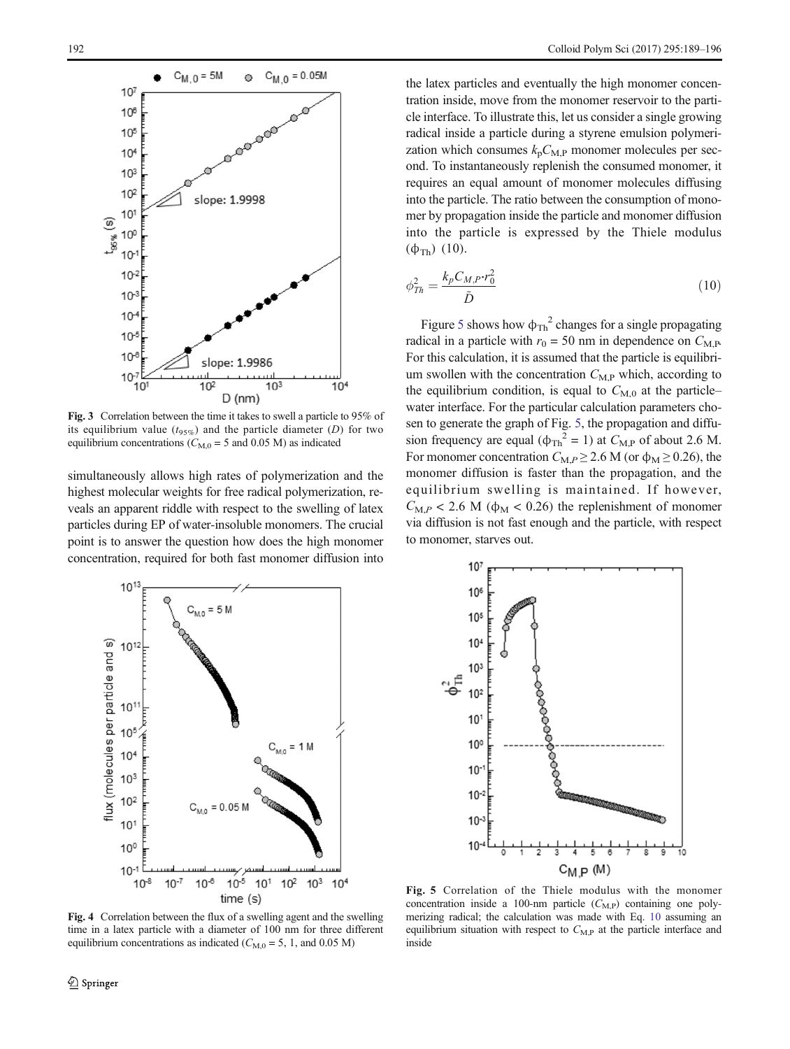<span id="page-3-0"></span>

Fig. 3 Correlation between the time it takes to swell a particle to 95% of its equilibrium value ( $t_{95\%}$ ) and the particle diameter (D) for two equilibrium concentrations ( $C_{M,0}$  = 5 and 0.05 M) as indicated

simultaneously allows high rates of polymerization and the highest molecular weights for free radical polymerization, reveals an apparent riddle with respect to the swelling of latex particles during EP of water-insoluble monomers. The crucial point is to answer the question how does the high monomer concentration, required for both fast monomer diffusion into

the latex particles and eventually the high monomer concentration inside, move from the monomer reservoir to the particle interface. To illustrate this, let us consider a single growing radical inside a particle during a styrene emulsion polymerization which consumes  $k_p C_{M,P}$  monomer molecules per second. To instantaneously replenish the consumed monomer, it requires an equal amount of monomer molecules diffusing into the particle. The ratio between the consumption of monomer by propagation inside the particle and monomer diffusion into the particle is expressed by the Thiele modulus  $(φ<sub>Th</sub>)$  (10).

$$
\phi_{Th}^2 = \frac{k_p C_{M,P} \cdot r_0^2}{\tilde{D}} \tag{10}
$$

Figure 5 shows how  $\phi_{\text{Th}}^2$  changes for a single propagating radical in a particle with  $r_0 = 50$  nm in dependence on  $C_{\text{MP}}$ . For this calculation, it is assumed that the particle is equilibrium swollen with the concentration  $C_{M,P}$  which, according to the equilibrium condition, is equal to  $C_{\rm M,0}$  at the particle– water interface. For the particular calculation parameters chosen to generate the graph of Fig. 5, the propagation and diffusion frequency are equal ( $\phi_{\text{Th}}^2 = 1$ ) at  $C_{\text{M,P}}$  of about 2.6 M. For monomer concentration  $C_{\text{M},P} \geq 2.6$  M (or  $\phi_{\text{M}} \geq 0.26$ ), the monomer diffusion is faster than the propagation, and the equilibrium swelling is maintained. If however,  $C_{\text{M},P}$  < 2.6 M ( $\phi_{\text{M}}$  < 0.26) the replenishment of monomer via diffusion is not fast enough and the particle, with respect to monomer, starves out.





Fig. 4 Correlation between the flux of a swelling agent and the swelling time in a latex particle with a diameter of 100 nm for three different equilibrium concentrations as indicated ( $C_{\text{M.0}}$  = 5, 1, and 0.05 M)

Fig. 5 Correlation of the Thiele modulus with the monomer concentration inside a 100-nm particle  $(C_{M,P})$  containing one polymerizing radical; the calculation was made with Eq. 10 assuming an equilibrium situation with respect to  $C_{\text{M,P}}$  at the particle interface and inside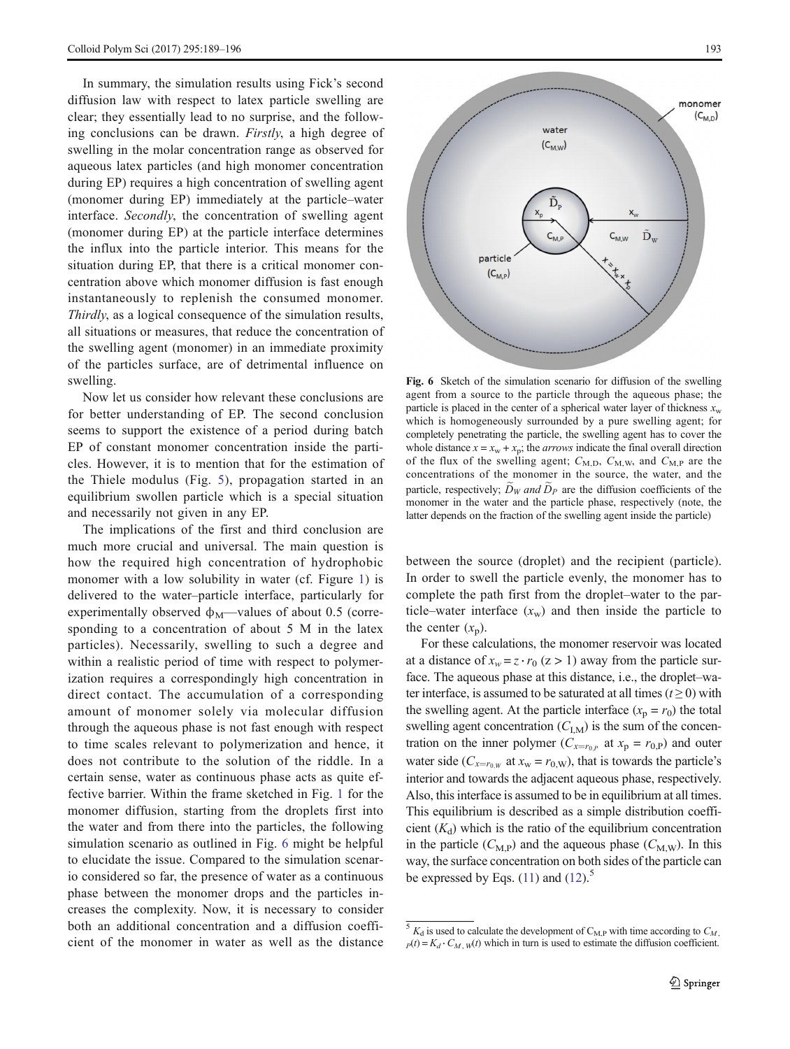<span id="page-4-0"></span>In summary, the simulation results using Fick's second diffusion law with respect to latex particle swelling are clear; they essentially lead to no surprise, and the following conclusions can be drawn. Firstly, a high degree of swelling in the molar concentration range as observed for aqueous latex particles (and high monomer concentration during EP) requires a high concentration of swelling agent (monomer during EP) immediately at the particle–water interface. Secondly, the concentration of swelling agent (monomer during EP) at the particle interface determines the influx into the particle interior. This means for the situation during EP, that there is a critical monomer concentration above which monomer diffusion is fast enough instantaneously to replenish the consumed monomer. Thirdly, as a logical consequence of the simulation results, all situations or measures, that reduce the concentration of the swelling agent (monomer) in an immediate proximity of the particles surface, are of detrimental influence on swelling.

Now let us consider how relevant these conclusions are for better understanding of EP. The second conclusion seems to support the existence of a period during batch EP of constant monomer concentration inside the particles. However, it is to mention that for the estimation of the Thiele modulus (Fig. [5\)](#page-3-0), propagation started in an equilibrium swollen particle which is a special situation and necessarily not given in any EP.

The implications of the first and third conclusion are much more crucial and universal. The main question is how the required high concentration of hydrophobic monomer with a low solubility in water (cf. Figure [1](#page-1-0)) is delivered to the water–particle interface, particularly for experimentally observed  $\phi_M$ —values of about 0.5 (corresponding to a concentration of about 5 M in the latex particles). Necessarily, swelling to such a degree and within a realistic period of time with respect to polymerization requires a correspondingly high concentration in direct contact. The accumulation of a corresponding amount of monomer solely via molecular diffusion through the aqueous phase is not fast enough with respect to time scales relevant to polymerization and hence, it does not contribute to the solution of the riddle. In a certain sense, water as continuous phase acts as quite effective barrier. Within the frame sketched in Fig. [1](#page-1-0) for the monomer diffusion, starting from the droplets first into the water and from there into the particles, the following simulation scenario as outlined in Fig. 6 might be helpful to elucidate the issue. Compared to the simulation scenario considered so far, the presence of water as a continuous phase between the monomer drops and the particles increases the complexity. Now, it is necessary to consider both an additional concentration and a diffusion coefficient of the monomer in water as well as the distance



Fig. 6 Sketch of the simulation scenario for diffusion of the swelling agent from a source to the particle through the aqueous phase; the particle is placed in the center of a spherical water layer of thickness  $x_w$ which is homogeneously surrounded by a pure swelling agent; for completely penetrating the particle, the swelling agent has to cover the whole distance  $x = x_w + x_p$ ; the *arrows* indicate the final overall direction of the flux of the swelling agent;  $C_{M,D}$ ,  $C_{M,W}$ , and  $C_{M,P}$  are the concentrations of the monomer in the source, the water, and the particle, respectively;  $\widetilde{D}_W$  and  $\widetilde{D}_P$  are the diffusion coefficients of the monomer in the water and the particle phase, respectively (note, the latter depends on the fraction of the swelling agent inside the particle)

between the source (droplet) and the recipient (particle). In order to swell the particle evenly, the monomer has to complete the path first from the droplet–water to the particle–water interface  $(x_w)$  and then inside the particle to the center  $(x_n)$ .

For these calculations, the monomer reservoir was located at a distance of  $x_w = z \cdot r_0$  (z > 1) away from the particle surface. The aqueous phase at this distance, i.e., the droplet–water interface, is assumed to be saturated at all times ( $t \ge 0$ ) with the swelling agent. At the particle interface  $(x_p = r_0)$  the total swelling agent concentration  $(C_{LM})$  is the sum of the concentration on the inner polymer ( $C_{x=r_{0,P}}$  at  $x_p = r_{0,P}$ ) and outer water side ( $C_{x=r_{0,W}}$  at  $x_w = r_{0,W}$ ), that is towards the particle's interior and towards the adjacent aqueous phase, respectively. Also, this interface is assumed to be in equilibrium at all times. This equilibrium is described as a simple distribution coefficient  $(K_d)$  which is the ratio of the equilibrium concentration in the particle  $(C_{\text{M.P}})$  and the aqueous phase  $(C_{\text{M.W}})$ . In this way, the surface concentration on both sides of the particle can be expressed by Eqs.  $(11)$  and  $(12)$ .<sup>5</sup>

 $5 K_d$  is used to calculate the development of  $C_{M,p}$  with time according to  $C_M$ ,  $P(t) = K_d \cdot C_{M, W}(t)$  which in turn is used to estimate the diffusion coefficient.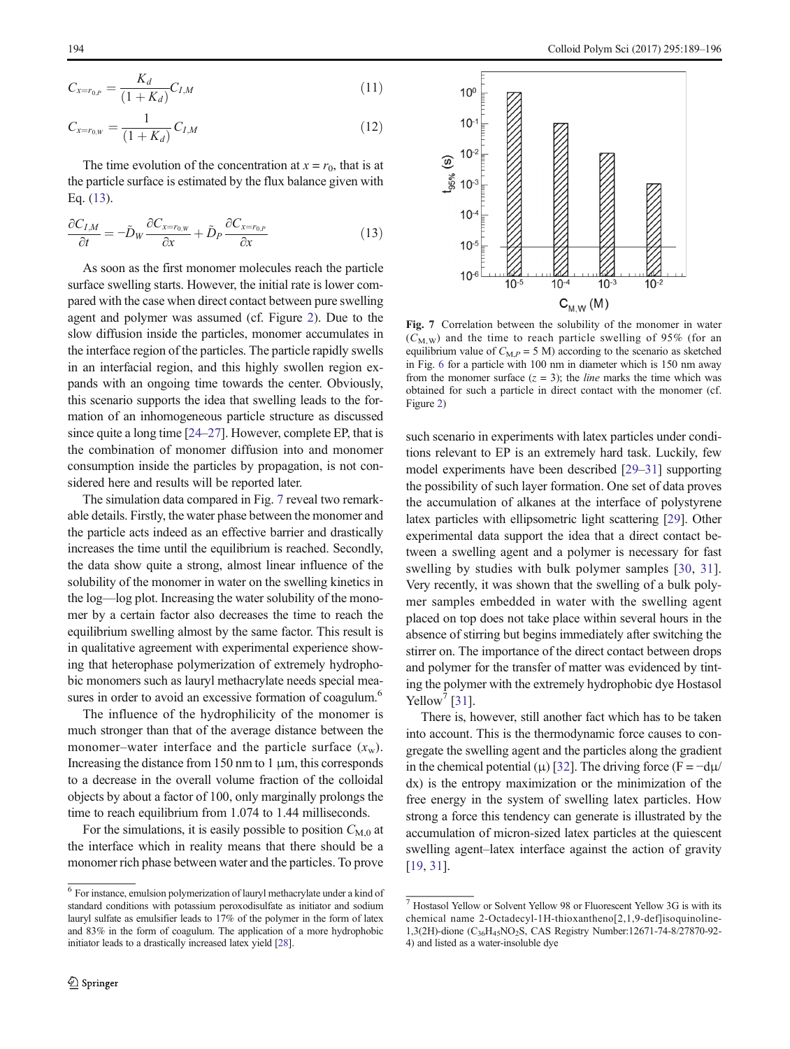<span id="page-5-0"></span>
$$
C_{x=r_{0,P}} = \frac{K_d}{(1+K_d)} C_{I,M} \tag{11}
$$

$$
C_{x=r_{0,W}} = \frac{1}{(1+K_d)} C_{I,M}
$$
\n(12)

The time evolution of the concentration at  $x = r_0$ , that is at the particle surface is estimated by the flux balance given with Eq. (13).

$$
\frac{\partial C_{I,M}}{\partial t} = -\tilde{D}_W \frac{\partial C_{x=r_{0,W}}}{\partial x} + \tilde{D}_P \frac{\partial C_{x=r_{0,P}}}{\partial x}
$$
(13)

As soon as the first monomer molecules reach the particle surface swelling starts. However, the initial rate is lower compared with the case when direct contact between pure swelling agent and polymer was assumed (cf. Figure [2\)](#page-2-0). Due to the slow diffusion inside the particles, monomer accumulates in the interface region of the particles. The particle rapidly swells in an interfacial region, and this highly swollen region expands with an ongoing time towards the center. Obviously, this scenario supports the idea that swelling leads to the formation of an inhomogeneous particle structure as discussed since quite a long time [\[24](#page-6-0)–[27\]](#page-7-0). However, complete EP, that is the combination of monomer diffusion into and monomer consumption inside the particles by propagation, is not considered here and results will be reported later.

The simulation data compared in Fig. 7 reveal two remarkable details. Firstly, the water phase between the monomer and the particle acts indeed as an effective barrier and drastically increases the time until the equilibrium is reached. Secondly, the data show quite a strong, almost linear influence of the solubility of the monomer in water on the swelling kinetics in the log—log plot. Increasing the water solubility of the monomer by a certain factor also decreases the time to reach the equilibrium swelling almost by the same factor. This result is in qualitative agreement with experimental experience showing that heterophase polymerization of extremely hydrophobic monomers such as lauryl methacrylate needs special measures in order to avoid an excessive formation of coagulum.<sup>6</sup>

The influence of the hydrophilicity of the monomer is much stronger than that of the average distance between the monomer–water interface and the particle surface  $(x<sub>w</sub>)$ . Increasing the distance from 150 nm to 1  $\mu$ m, this corresponds to a decrease in the overall volume fraction of the colloidal objects by about a factor of 100, only marginally prolongs the time to reach equilibrium from 1.074 to 1.44 milliseconds.

For the simulations, it is easily possible to position  $C_{\rm M,0}$  at the interface which in reality means that there should be a monomer rich phase between water and the particles. To prove



Fig. 7 Correlation between the solubility of the monomer in water  $(C_{M,W})$  and the time to reach particle swelling of 95% (for an equilibrium value of  $C_{M,P} = 5$  M) according to the scenario as sketched in Fig. [6](#page-4-0) for a particle with 100 nm in diameter which is 150 nm away from the monomer surface  $(z = 3)$ ; the *line* marks the time which was obtained for such a particle in direct contact with the monomer (cf. Figure [2\)](#page-2-0)

such scenario in experiments with latex particles under conditions relevant to EP is an extremely hard task. Luckily, few model experiments have been described [[29](#page-7-0)–[31](#page-7-0)] supporting the possibility of such layer formation. One set of data proves the accumulation of alkanes at the interface of polystyrene latex particles with ellipsometric light scattering [\[29](#page-7-0)]. Other experimental data support the idea that a direct contact between a swelling agent and a polymer is necessary for fast swelling by studies with bulk polymer samples [[30,](#page-7-0) [31](#page-7-0)]. Very recently, it was shown that the swelling of a bulk polymer samples embedded in water with the swelling agent placed on top does not take place within several hours in the absence of stirring but begins immediately after switching the stirrer on. The importance of the direct contact between drops and polymer for the transfer of matter was evidenced by tinting the polymer with the extremely hydrophobic dye Hostasol Yellow<sup>7</sup> [\[31\]](#page-7-0).

There is, however, still another fact which has to be taken into account. This is the thermodynamic force causes to congregate the swelling agent and the particles along the gradient in the chemical potential ( $\mu$ ) [\[32\]](#page-7-0). The driving force (F =  $-d\mu$ / dx) is the entropy maximization or the minimization of the free energy in the system of swelling latex particles. How strong a force this tendency can generate is illustrated by the accumulation of micron-sized latex particles at the quiescent swelling agent–latex interface against the action of gravity [\[19](#page-6-0), [31\]](#page-7-0).

<sup>6</sup> For instance, emulsion polymerization of lauryl methacrylate under a kind of standard conditions with potassium peroxodisulfate as initiator and sodium lauryl sulfate as emulsifier leads to 17% of the polymer in the form of latex and 83% in the form of coagulum. The application of a more hydrophobic initiator leads to a drastically increased latex yield [[28](#page-7-0)].

<sup>7</sup> Hostasol Yellow or Solvent Yellow 98 or Fluorescent Yellow 3G is with its chemical name 2-Octadecyl-1H-thioxantheno[2,1,9-def]isoquinoline-1,3(2H)-dione (C36H45NO2S, CAS Registry Number:12671-74-8/27870-92- 4) and listed as a water-insoluble dye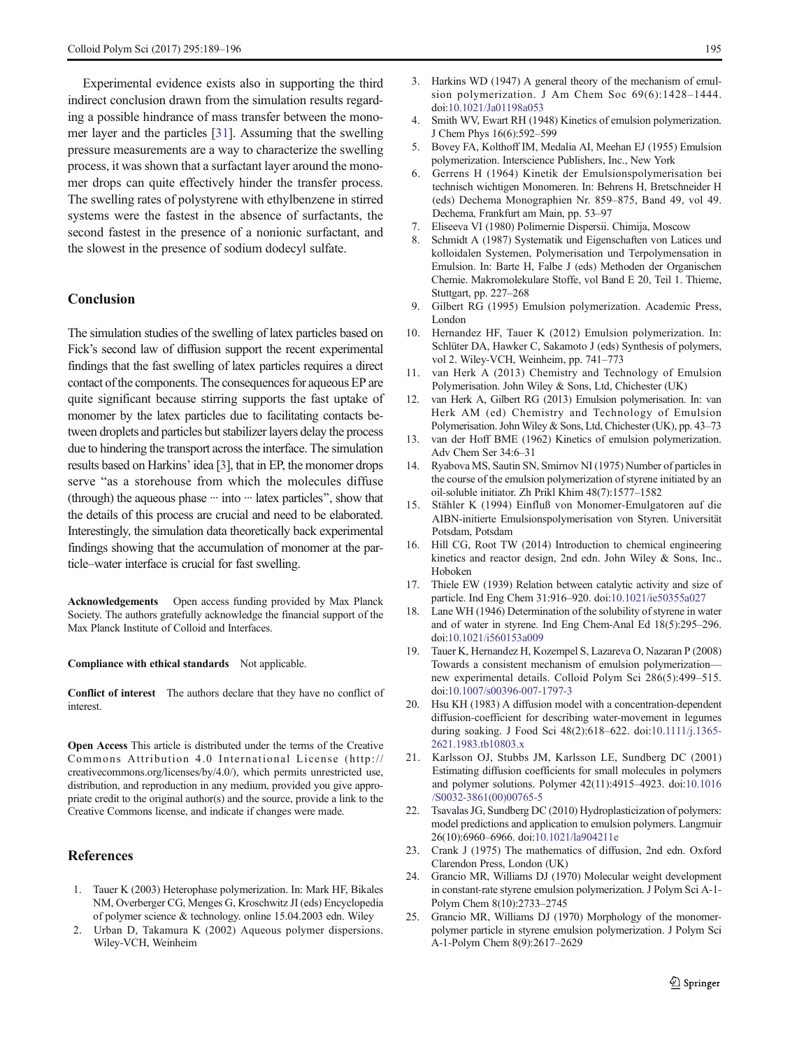<span id="page-6-0"></span>Experimental evidence exists also in supporting the third indirect conclusion drawn from the simulation results regarding a possible hindrance of mass transfer between the monomer layer and the particles [[31](#page-7-0)]. Assuming that the swelling pressure measurements are a way to characterize the swelling process, it was shown that a surfactant layer around the monomer drops can quite effectively hinder the transfer process. The swelling rates of polystyrene with ethylbenzene in stirred systems were the fastest in the absence of surfactants, the second fastest in the presence of a nonionic surfactant, and the slowest in the presence of sodium dodecyl sulfate.

#### Conclusion

The simulation studies of the swelling of latex particles based on Fick's second law of diffusion support the recent experimental findings that the fast swelling of latex particles requires a direct contact of the components. The consequences for aqueous EP are quite significant because stirring supports the fast uptake of monomer by the latex particles due to facilitating contacts between droplets and particles but stabilizer layers delay the process due to hindering the transport across the interface. The simulation results based on Harkins' idea [3], that in EP, the monomer drops serve "as a storehouse from which the molecules diffuse (through) the aqueous phase  $\cdots$  into  $\cdots$  latex particles", show that the details of this process are crucial and need to be elaborated. Interestingly, the simulation data theoretically back experimental findings showing that the accumulation of monomer at the particle–water interface is crucial for fast swelling.

Acknowledgements Open access funding provided by Max Planck Society. The authors gratefully acknowledge the financial support of the Max Planck Institute of Colloid and Interfaces.

Compliance with ethical standards Not applicable.

Conflict of interest The authors declare that they have no conflict of interest.

Open Access This article is distributed under the terms of the Creative Commons Attribution 4.0 International License (http:// creativecommons.org/licenses/by/4.0/), which permits unrestricted use, distribution, and reproduction in any medium, provided you give appropriate credit to the original author(s) and the source, provide a link to the Creative Commons license, and indicate if changes were made.

### **References**

- 1. Tauer K (2003) Heterophase polymerization. In: Mark HF, Bikales NM, Overberger CG, Menges G, Kroschwitz JI (eds) Encyclopedia of polymer science & technology. online 15.04.2003 edn. Wiley
- 2. Urban D, Takamura K (2002) Aqueous polymer dispersions. Wiley-VCH, Weinheim
- 3. Harkins WD (1947) A general theory of the mechanism of emulsion polymerization. J Am Chem Soc 69(6):1428–1444. doi[:10.1021/Ja01198a053](http://dx.doi.org/10.1021/Ja01198a053)
- 4. Smith WV, Ewart RH (1948) Kinetics of emulsion polymerization. J Chem Phys 16(6):592–599
- 5. Bovey FA, Kolthoff IM, Medalia AI, Meehan EJ (1955) Emulsion polymerization. Interscience Publishers, Inc., New York
- 6. Gerrens H (1964) Kinetik der Emulsionspolymerisation bei technisch wichtigen Monomeren. In: Behrens H, Bretschneider H (eds) Dechema Monographien Nr. 859–875, Band 49, vol 49. Dechema, Frankfurt am Main, pp. 53–97
- 7. Eliseeva VI (1980) Polimernie Dispersii. Chimija, Moscow
- 8. Schmidt A (1987) Systematik und Eigenschaften von Latices und kolloidalen Systemen, Polymerisation und Terpolymensation in Emulsion. In: Barte H, Falbe J (eds) Methoden der Organischen Chemie. Makromolekulare Stoffe, vol Band E 20, Teil 1. Thieme, Stuttgart, pp. 227–268
- 9. Gilbert RG (1995) Emulsion polymerization. Academic Press, London
- 10. Hernandez HF, Tauer K (2012) Emulsion polymerization. In: Schlüter DA, Hawker C, Sakamoto J (eds) Synthesis of polymers, vol 2. Wiley-VCH, Weinheim, pp. 741–773
- 11. van Herk A (2013) Chemistry and Technology of Emulsion Polymerisation. John Wiley & Sons, Ltd, Chichester (UK)
- 12. van Herk A, Gilbert RG (2013) Emulsion polymerisation. In: van Herk AM (ed) Chemistry and Technology of Emulsion Polymerisation. John Wiley & Sons, Ltd, Chichester (UK), pp. 43–73
- 13. van der Hoff BME (1962) Kinetics of emulsion polymerization. Adv Chem Ser 34:6–31
- 14. Ryabova MS, Sautin SN, Smirnov NI (1975) Number of particles in the course of the emulsion polymerization of styrene initiated by an oil-soluble initiator. Zh Prikl Khim 48(7):1577–1582
- 15. Stähler K (1994) Einfluß von Monomer-Emulgatoren auf die AIBN-initierte Emulsionspolymerisation von Styren. Universität Potsdam, Potsdam
- 16. Hill CG, Root TW (2014) Introduction to chemical engineering kinetics and reactor design, 2nd edn. John Wiley & Sons, Inc., Hoboken
- 17. Thiele EW (1939) Relation between catalytic activity and size of particle. Ind Eng Chem 31:916–920. doi:[10.1021/ie50355a027](http://dx.doi.org/10.1021/ie50355a027)
- 18. Lane WH (1946) Determination of the solubility of styrene in water and of water in styrene. Ind Eng Chem-Anal Ed 18(5):295–296. doi[:10.1021/i560153a009](http://dx.doi.org/10.1021/i560153a009)
- 19. Tauer K, Hernandez H, Kozempel S, Lazareva O, Nazaran P (2008) Towards a consistent mechanism of emulsion polymerization new experimental details. Colloid Polym Sci 286(5):499–515. doi[:10.1007/s00396-007-1797-3](http://dx.doi.org/10.1007/s00396-007-1797-3)
- 20. Hsu KH (1983) A diffusion model with a concentration-dependent diffusion-coefficient for describing water-movement in legumes during soaking. J Food Sci 48(2):618–622. doi[:10.1111/j.1365-](http://dx.doi.org/10.1111/j.1365-2621.1983.tb10803.x) [2621.1983.tb10803.x](http://dx.doi.org/10.1111/j.1365-2621.1983.tb10803.x)
- 21. Karlsson OJ, Stubbs JM, Karlsson LE, Sundberg DC (2001) Estimating diffusion coefficients for small molecules in polymers and polymer solutions. Polymer 42(11):4915–4923. doi[:10.1016](http://dx.doi.org/10.1016/S0032-3861(00)00765-5) [/S0032-3861\(00\)00765-5](http://dx.doi.org/10.1016/S0032-3861(00)00765-5)
- 22. Tsavalas JG, Sundberg DC (2010) Hydroplasticization of polymers: model predictions and application to emulsion polymers. Langmuir 26(10):6960–6966. doi[:10.1021/la904211e](http://dx.doi.org/10.1021/la904211e)
- 23. Crank J (1975) The mathematics of diffusion, 2nd edn. Oxford Clarendon Press, London (UK)
- 24. Grancio MR, Williams DJ (1970) Molecular weight development in constant-rate styrene emulsion polymerization. J Polym Sci A-1- Polym Chem 8(10):2733–2745
- 25. Grancio MR, Williams DJ (1970) Morphology of the monomerpolymer particle in styrene emulsion polymerization. J Polym Sci A-1-Polym Chem 8(9):2617–2629